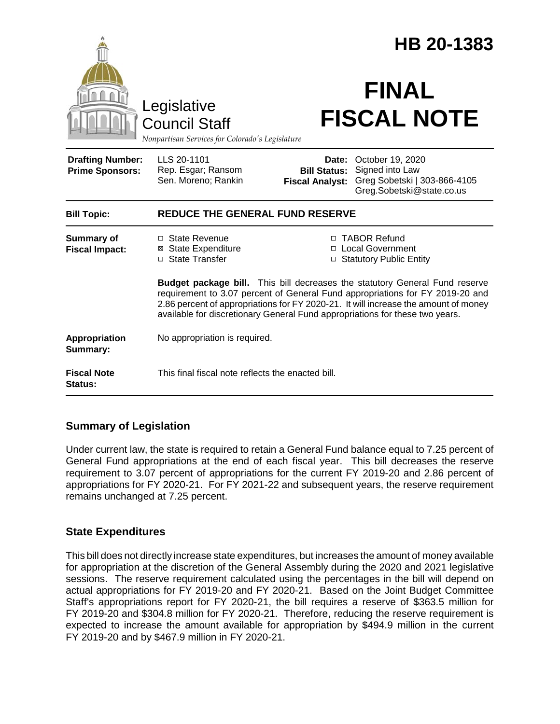|                                                   |                                                                                                                                                                                                                                                                                                                                            |                                                        | HB 20-1383                                                                                       |  |
|---------------------------------------------------|--------------------------------------------------------------------------------------------------------------------------------------------------------------------------------------------------------------------------------------------------------------------------------------------------------------------------------------------|--------------------------------------------------------|--------------------------------------------------------------------------------------------------|--|
|                                                   | Legislative<br><b>Council Staff</b><br>Nonpartisan Services for Colorado's Legislature                                                                                                                                                                                                                                                     |                                                        | <b>FINAL</b><br><b>FISCAL NOTE</b>                                                               |  |
| <b>Drafting Number:</b><br><b>Prime Sponsors:</b> | LLS 20-1101<br>Rep. Esgar; Ransom<br>Sen. Moreno; Rankin                                                                                                                                                                                                                                                                                   | Date:<br><b>Bill Status:</b><br><b>Fiscal Analyst:</b> | October 19, 2020<br>Signed into Law<br>Greg Sobetski   303-866-4105<br>Greg.Sobetski@state.co.us |  |
| <b>Bill Topic:</b>                                | <b>REDUCE THE GENERAL FUND RESERVE</b>                                                                                                                                                                                                                                                                                                     |                                                        |                                                                                                  |  |
| <b>Summary of</b><br><b>Fiscal Impact:</b>        | □ State Revenue<br><b>⊠</b> State Expenditure<br>□ State Transfer                                                                                                                                                                                                                                                                          |                                                        | □ TABOR Refund<br>□ Local Government<br>□ Statutory Public Entity                                |  |
|                                                   | <b>Budget package bill.</b> This bill decreases the statutory General Fund reserve<br>requirement to 3.07 percent of General Fund appropriations for FY 2019-20 and<br>2.86 percent of appropriations for FY 2020-21. It will increase the amount of money<br>available for discretionary General Fund appropriations for these two years. |                                                        |                                                                                                  |  |
| Appropriation<br>Summary:                         | No appropriation is required.                                                                                                                                                                                                                                                                                                              |                                                        |                                                                                                  |  |
| <b>Fiscal Note</b><br>Status:                     | This final fiscal note reflects the enacted bill.                                                                                                                                                                                                                                                                                          |                                                        |                                                                                                  |  |

## **Summary of Legislation**

Under current law, the state is required to retain a General Fund balance equal to 7.25 percent of General Fund appropriations at the end of each fiscal year. This bill decreases the reserve requirement to 3.07 percent of appropriations for the current FY 2019-20 and 2.86 percent of appropriations for FY 2020-21. For FY 2021-22 and subsequent years, the reserve requirement remains unchanged at 7.25 percent.

## **State Expenditures**

This bill does not directly increase state expenditures, but increases the amount of money available for appropriation at the discretion of the General Assembly during the 2020 and 2021 legislative sessions. The reserve requirement calculated using the percentages in the bill will depend on actual appropriations for FY 2019-20 and FY 2020-21. Based on the Joint Budget Committee Staff's appropriations report for FY 2020-21, the bill requires a reserve of \$363.5 million for FY 2019-20 and \$304.8 million for FY 2020-21. Therefore, reducing the reserve requirement is expected to increase the amount available for appropriation by \$494.9 million in the current FY 2019-20 and by \$467.9 million in FY 2020-21.